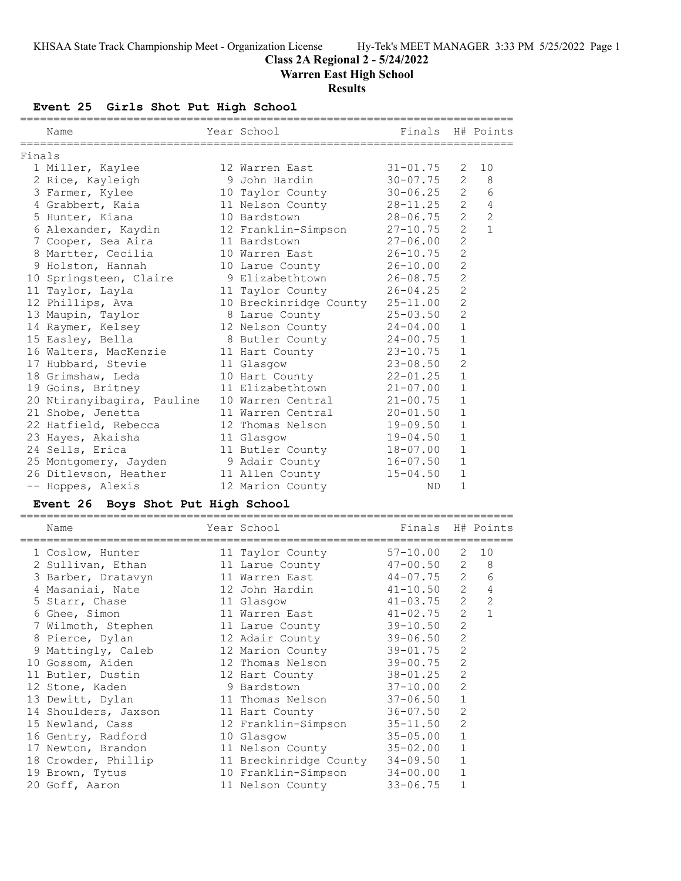# **Class 2A Regional 2 - 5/24/2022**

**Warren East High School**

# **Results**

# **Event 25 Girls Shot Put High School**

|        | Name                       | Year School                     | Finals H# Points |                |                  |
|--------|----------------------------|---------------------------------|------------------|----------------|------------------|
| Finals |                            |                                 |                  |                |                  |
|        | 1 Miller, Kaylee           | 12 Warren East                  | $31 - 01.75$     | 2              | 10               |
|        | 2 Rice, Kayleigh           | 9 John Hardin                   | 30-07.75         | $\overline{2}$ | 8                |
|        | 3 Farmer, Kylee            | 10 Taylor County                | $30 - 06.25$     |                | $2^{\circ}$<br>6 |
|        | 4 Grabbert, Kaia           | 11 Nelson County 28-11.25       |                  | $2^{\circ}$    | $\overline{4}$   |
|        | 5 Hunter, Kiana            | 10 Bardstown                    | $28 - 06.75$     | $\overline{2}$ | $\overline{c}$   |
|        | 6 Alexander, Kaydin        | 12 Franklin-Simpson 27-10.75    |                  | $\overline{2}$ | $\mathbf{1}$     |
|        | 7 Cooper, Sea Aira         | 11 Bardstown                    | $27 - 06.00$     | $\overline{2}$ |                  |
|        | 8 Martter, Cecilia         | 10 Warren East 26-10.75         |                  | 2              |                  |
|        | 9 Holston, Hannah          | 10 Larue County                 | $26 - 10.00$     | $\overline{2}$ |                  |
|        | 10 Springsteen, Claire     | 9 Elizabethtown                 | $26 - 08.75$     | $\overline{2}$ |                  |
|        | 11 Taylor, Layla           | 11 Taylor County                | $26 - 04.25$     | $\overline{2}$ |                  |
|        | 12 Phillips, Ava           | 10 Breckinridge County 25-11.00 |                  | $\overline{2}$ |                  |
|        | 13 Maupin, Taylor          | 8 Larue County 25-03.50         |                  | $\overline{2}$ |                  |
|        | 14 Raymer, Kelsey          | 12 Nelson County                | $24 - 04.00$     | $\mathbf{1}$   |                  |
|        | 15 Easley, Bella           | 8 Butler County                 | $24 - 00.75$     | $\mathbf{1}$   |                  |
|        | 16 Walters, MacKenzie      | 11 Hart County 23-10.75         |                  | $\mathbf{1}$   |                  |
|        | 17 Hubbard, Stevie         | 11 Glasgow                      | $23 - 08.50$     | $\overline{2}$ |                  |
|        | 18 Grimshaw, Leda          | 10 Hart County                  | $22 - 01.25$     | $\mathbf{1}$   |                  |
|        | 19 Goins, Britney          | 11 Elizabethtown                | $21 - 07.00$     | $\mathbf{1}$   |                  |
|        | 20 Ntiranyibagira, Pauline | 10 Warren Central               | $21 - 00.75$     | $\mathbf{1}$   |                  |
|        | 21 Shobe, Jenetta          | 11 Warren Central               | $20 - 01.50$     | $\mathbf{1}$   |                  |
|        | 22 Hatfield, Rebecca       | 12 Thomas Nelson                | $19 - 09.50$     | $\mathbf{1}$   |                  |
|        | 23 Hayes, Akaisha          | 11 Glasgow                      | 19-04.50         | $\mathbf{1}$   |                  |
|        | 24 Sells, Erica            | 11 Butler County                | $18 - 07.00$     | $\mathbf{1}$   |                  |
|        | 25 Montgomery, Jayden      | 9 Adair County                  | $16 - 07.50$     | $\mathbf{1}$   |                  |
|        | 26 Ditlevson, Heather      | 11 Allen County                 | $15 - 04.50$     | $\mathbf{1}$   |                  |
|        | -- Hoppes, Alexis          | 12 Marion County                | ND.              | $\mathbf{1}$   |                  |

# **Event 26 Boys Shot Put High School**

| Name                 | Year School            | Finals H# Points |                |              |
|----------------------|------------------------|------------------|----------------|--------------|
| 1 Coslow, Hunter     | 11 Taylor County       | 57-10.00         | 2              | 10           |
| 2 Sullivan, Ethan    | 11 Larue County        | $47 - 00.50$     | 2              | 8            |
| 3 Barber, Dratavyn   | 11 Warren East         | $44 - 07.75$     | 2              | 6            |
| 4 Masaniai, Nate     | 12 John Hardin         | $41 - 10.50$     | 2              | 4            |
| 5 Starr, Chase       | 11 Glasgow             | $41 - 03.75$     | 2              | 2            |
| 6 Ghee, Simon        | 11 Warren East         | $41 - 02.75$     | 2              | $\mathbf{1}$ |
| 7 Wilmoth, Stephen   | 11 Larue County        | $39 - 10.50$     | $\overline{2}$ |              |
| 8 Pierce, Dylan      | 12 Adair County        | $39 - 06.50$     | $\overline{2}$ |              |
| 9 Mattingly, Caleb   | 12 Marion County       | 39-01.75         | $\overline{2}$ |              |
| 10 Gossom, Aiden     | 12 Thomas Nelson       | 39-00.75         | 2              |              |
| 11 Butler, Dustin    | 12 Hart County         | $38 - 01.25$     | $\overline{2}$ |              |
| 12 Stone, Kaden      | 9 Bardstown            | $37 - 10.00$     | $\overline{2}$ |              |
| 13 Dewitt, Dylan     | 11 Thomas Nelson       | $37 - 06.50$     | $\mathbf{1}$   |              |
| 14 Shoulders, Jaxson | 11 Hart County         | $36 - 07.50$     | 2              |              |
| 15 Newland, Cass     | 12 Franklin-Simpson    | $35 - 11.50$     | $\overline{2}$ |              |
| 16 Gentry, Radford   | 10 Glasgow             | $35 - 05.00$     | $\mathbf{1}$   |              |
| 17 Newton, Brandon   | 11 Nelson County       | $35 - 02.00$     | $\mathbf{1}$   |              |
| 18 Crowder, Phillip  | 11 Breckinridge County | $34 - 09.50$     | $\mathbf{1}$   |              |
| 19 Brown, Tytus      | 10 Franklin-Simpson    | $34 - 00.00$     | $\mathbf{1}$   |              |
| 20 Goff, Aaron       | 11 Nelson County       | $33 - 06.75$     | $\mathbf{1}$   |              |
|                      |                        |                  |                |              |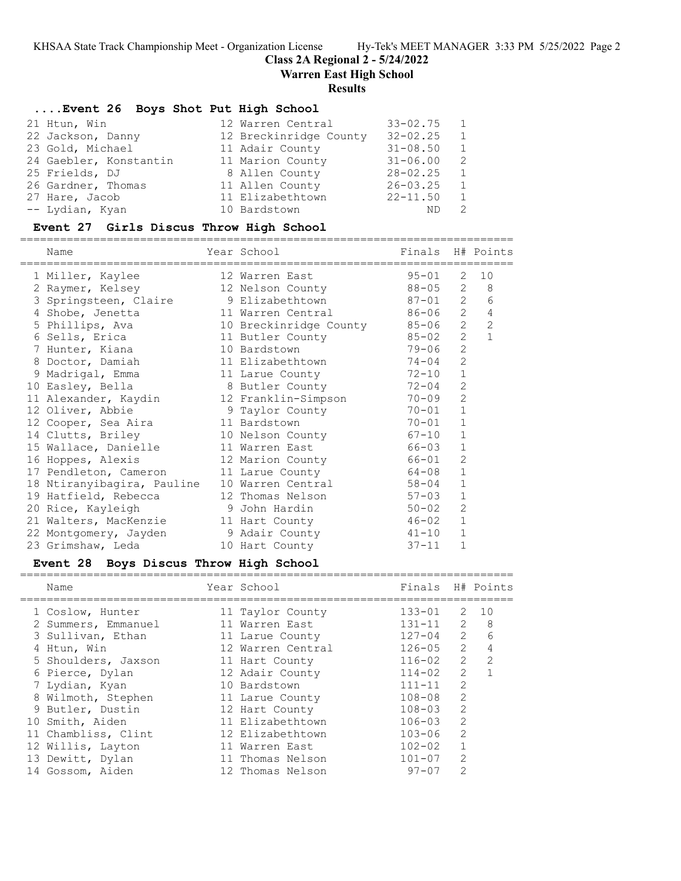**Class 2A Regional 2 - 5/24/2022**

**Warren East High School**

## **Results**

# **....Event 26 Boys Shot Put High School**

|                        | $33 - 02.75$                                                                                                                                                | $\overline{1}$ |
|------------------------|-------------------------------------------------------------------------------------------------------------------------------------------------------------|----------------|
| 22 Jackson, Danny      | $32 - 02.25$                                                                                                                                                | $\overline{1}$ |
|                        | $31 - 08.50$                                                                                                                                                | $\overline{1}$ |
| 24 Gaebler, Konstantin | $31 - 06.00$                                                                                                                                                | $\overline{2}$ |
|                        | $28 - 02.25$                                                                                                                                                | $\overline{1}$ |
| 26 Gardner, Thomas     | $26 - 03.25$                                                                                                                                                | $\overline{1}$ |
|                        | $22 - 11.50$                                                                                                                                                | 1              |
|                        | ΝD                                                                                                                                                          | 2              |
|                        | 12 Warren Central<br>12 Breckinridge County<br>11 Adair County<br>11 Marion County<br>8 Allen County<br>11 Allen County<br>11 Elizabethtown<br>10 Bardstown |                |

#### **Event 27 Girls Discus Throw High School**

| Name                                    | Year School            | Finals H# Points |                |                |
|-----------------------------------------|------------------------|------------------|----------------|----------------|
| 1 Miller, Kaylee                        | 12 Warren East         | $95 - 01$        | 2              | 10             |
| 2 Raymer, Kelsey                        | 12 Nelson County       | 88-05            |                | $2 \quad$<br>8 |
| 3 Springsteen, Claire 5 9 Elizabethtown |                        | 87-01            | $\overline{2}$ | 6              |
| 4 Shobe, Jenetta                        | 11 Warren Central      | 86-06            | $2^{\circ}$    | $\overline{4}$ |
| 5 Phillips, Ava                         | 10 Breckinridge County | 85-06            | $\mathbf{2}$   | $\overline{2}$ |
| 6 Sells, Erica                          | 11 Butler County       | 85-02            | $\overline{2}$ | $\mathbf{1}$   |
| 7 Hunter, Kiana                         | 10 Bardstown           | 79-06            | 2              |                |
| 8 Doctor, Damiah                        | 11 Elizabethtown       | 74-04            | 2              |                |
| 9 Madrigal, Emma                        | 11 Larue County        | $72 - 10$        | $\mathbf{1}$   |                |
| 10 Easley, Bella                        | 8 Butler County        | $72 - 04$        | 2              |                |
| 11 Alexander, Kaydin                    | 12 Franklin-Simpson    | 70-09            | 2              |                |
| 12 Oliver, Abbie                        | 9 Taylor County        | $70 - 01$        | $\mathbf{1}$   |                |
| 12 Cooper, Sea Aira                     | 11 Bardstown           | $70 - 01$        | $\mathbf{1}$   |                |
| 14 Clutts, Briley                       | 10 Nelson County       | $67 - 10$        | $\mathbf{1}$   |                |
| 15 Wallace, Danielle                    | 11 Warren East         | 66-03            | $\mathbf{1}$   |                |
| 16 Hoppes, Alexis                       | 12 Marion County       | 66-01            | $\overline{c}$ |                |
| 17 Pendleton, Cameron                   | 11 Larue County        | 64-08            | $1\,$          |                |
| 18 Ntiranyibagira, Pauline              | 10 Warren Central      | 58-04            | $\mathbf{1}$   |                |
| 19 Hatfield, Rebecca                    | 12 Thomas Nelson       | $57 - 03$        | $\mathbf 1$    |                |
| 20 Rice, Kayleigh                       | 9 John Hardin          | 50-02            | 2              |                |
| 21 Walters, MacKenzie                   | 11 Hart County         | 46-02            | $\mathbf{1}$   |                |
| 22 Montgomery, Jayden                   | 9 Adair County         | 41-10            | 1              |                |
| 23 Grimshaw, Leda                       | 10 Hart County         | $37 - 11$        | $\mathbf 1$    |                |

# **Event 28 Boys Discus Throw High School**

| Name                | Year School       | Finals H# Points |                |                |
|---------------------|-------------------|------------------|----------------|----------------|
| 1 Coslow, Hunter    | 11 Taylor County  | $133 - 01$       | 2              | 10             |
| 2 Summers, Emmanuel | 11 Warren East    | $131 - 11$       | 2              | 8              |
| 3 Sullivan, Ethan   | 11 Larue County   | $127 - 04$       | 2              | 6              |
| 4 Htun, Win         | 12 Warren Central | $126 - 05$       | $2^{\circ}$    | $\overline{4}$ |
| 5 Shoulders, Jaxson | 11 Hart County    | $116 - 02$       | $\overline{2}$ | $\mathcal{L}$  |
| 6 Pierce, Dylan     | 12 Adair County   | $114 - 02$       | $\mathcal{P}$  |                |
| 7 Lydian, Kyan      | 10 Bardstown      | $111 - 11$       | $\overline{2}$ |                |
| 8 Wilmoth, Stephen  | 11 Larue County   | $108 - 08$       | $\mathcal{L}$  |                |
| 9 Butler, Dustin    | 12 Hart County    | $108 - 03$       | $\mathcal{L}$  |                |
| 10 Smith, Aiden     | 11 Elizabethtown  | $106 - 03$       | $\overline{2}$ |                |
| 11 Chambliss, Clint | 12 Elizabethtown  | $103 - 06$       | $\mathcal{L}$  |                |
| 12 Willis, Layton   | 11 Warren East    | $102 - 02$       |                |                |
| 13 Dewitt, Dylan    | 11 Thomas Nelson  | $101 - 07$       | $\mathcal{L}$  |                |
| 14 Gossom, Aiden    | 12 Thomas Nelson  | $97 - 07$        | $\mathcal{P}$  |                |
|                     |                   |                  |                |                |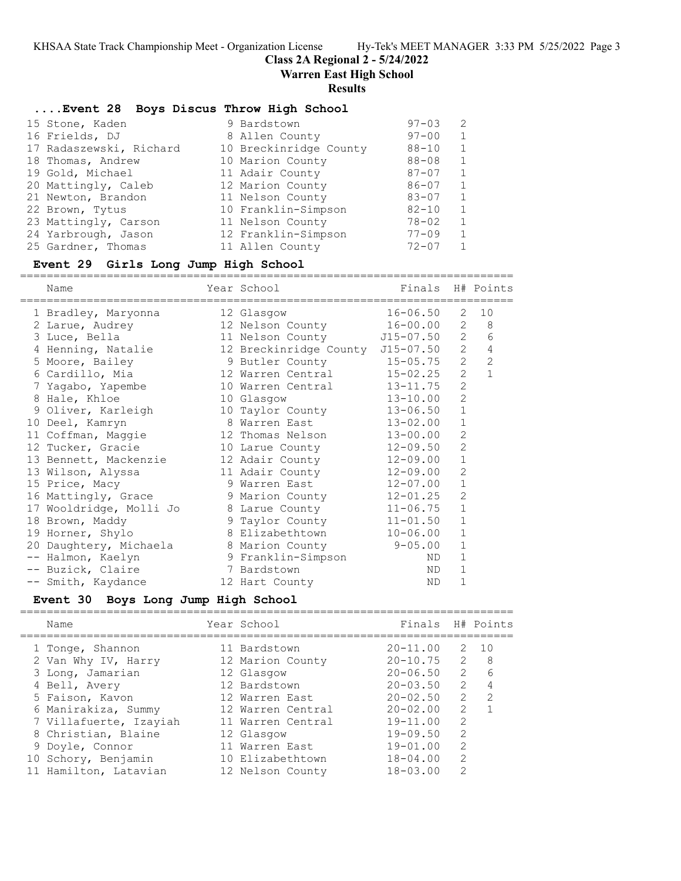## **Class 2A Regional 2 - 5/24/2022**

**Warren East High School**

#### **Results**

#### **....Event 28 Boys Discus Throw High School**

|  | 15 Stone, Kaden         | 9 Bardstown            | $97 - 03$ | -2 |
|--|-------------------------|------------------------|-----------|----|
|  | 16 Frields, DJ          | 8 Allen County         | $97 - 00$ | 1  |
|  | 17 Radaszewski, Richard | 10 Breckinridge County | $88 - 10$ | 1  |
|  | 18 Thomas, Andrew       | 10 Marion County       | $88 - 08$ | 1  |
|  | 19 Gold, Michael        | 11 Adair County        | $87 - 07$ | 1  |
|  | 20 Mattingly, Caleb     | 12 Marion County       | $86 - 07$ | 1  |
|  | 21 Newton, Brandon      | 11 Nelson County       | $83 - 07$ | 1  |
|  | 22 Brown, Tytus         | 10 Franklin-Simpson    | $82 - 10$ | 1  |
|  | 23 Mattingly, Carson    | 11 Nelson County       | $78 - 02$ | 1  |
|  | 24 Yarbrough, Jason     | 12 Franklin-Simpson    | $77 - 09$ | 1  |
|  | 25 Gardner, Thomas      | 11 Allen County        | $72 - 07$ | 1  |
|  |                         |                        |           |    |

#### **Event 29 Girls Long Jump High School**

========================================================================== Name Year School Finals H# Points ========================================================================== 1 Bradley, Maryonna 12 Glasgow 16-06.50 2 10 2 Larue, Audrey 12 Nelson County 16-00.00 2 8 3 Luce, Bella 11 Nelson County J15-07.50 2 6 4 Henning, Natalie 12 Breckinridge County J15-07.50 2 4 5 Moore, Bailey 9 Butler County 15-05.75 2 2 6 Cardillo, Mia 12 Warren Central 15-02.25 2 1 7 Yagabo, Yapembe 10 Warren Central 13-11.75 2 8 Hale, Khloe 10 Glasgow 13-10.00 2 9 Oliver, Karleigh 10 Taylor County 13-06.50 1 10 Deel, Kamryn 8 Warren East 13-02.00 1 11 Coffman, Maggie 12 Thomas Nelson 13-00.00 2 12 Tucker, Gracie 10 Larue County 12-09.50 2 13 Bennett, Mackenzie 12 Adair County 12-09.00 1 13 Wilson, Alyssa 11 Adair County 12-09.00 2 15 Price, Macy 9 Warren East 12-07.00 1 16 Mattingly, Grace 9 Marion County 12-01.25 2 17 Wooldridge, Molli Jo 8 Larue County 11-06.75 1 18 Brown, Maddy 9 Taylor County 11-01.50 1 19 Horner, Shylo 8 Elizabethtown 10-06.00 1 20 Daughtery, Michaela 8 Marion County 9-05.00 1 -- Halmon, Kaelyn 9 Franklin-Simpson ND 1 -- Buzick, Claire 7 Bardstown ND 1 -- Smith, Kaydance 12 Hart County ND 1

#### **Event 30 Boys Long Jump High School** ==========================================================================

| Name                   | Year School       | Finals H# Points |               |               |
|------------------------|-------------------|------------------|---------------|---------------|
| 1 Tonge, Shannon       | 11 Bardstown      | $20 - 11.00$     |               | 2 10          |
| 2 Van Why IV, Harry    | 12 Marion County  | $20 - 10.75$     | $2^{\circ}$   | 8             |
| 3 Long, Jamarian       | 12 Glasgow        | $20 - 06.50$     | $\mathcal{L}$ | 6             |
| 4 Bell, Avery          | 12 Bardstown      | $20 - 03.50$     | 2             | 4             |
| 5 Faison, Kavon        | 12 Warren East    | $20 - 02.50$     | $\mathcal{P}$ | $\mathcal{P}$ |
| 6 Manirakiza, Summy    | 12 Warren Central | $20 - 02.00$     | $\mathcal{L}$ |               |
| 7 Villafuerte, Izayiah | 11 Warren Central | $19 - 11.00$     | $\mathcal{L}$ |               |
| 8 Christian, Blaine    | 12 Glasgow        | $19 - 09.50$     | $\mathcal{L}$ |               |
| 9 Doyle, Connor        | 11 Warren East    | $19 - 01.00$     | $\mathcal{L}$ |               |
| 10 Schory, Benjamin    | 10 Elizabethtown  | $18 - 04.00$     | $\mathcal{L}$ |               |
| 11 Hamilton, Latavian  | 12 Nelson County  | $18 - 03.00$     | $\mathcal{L}$ |               |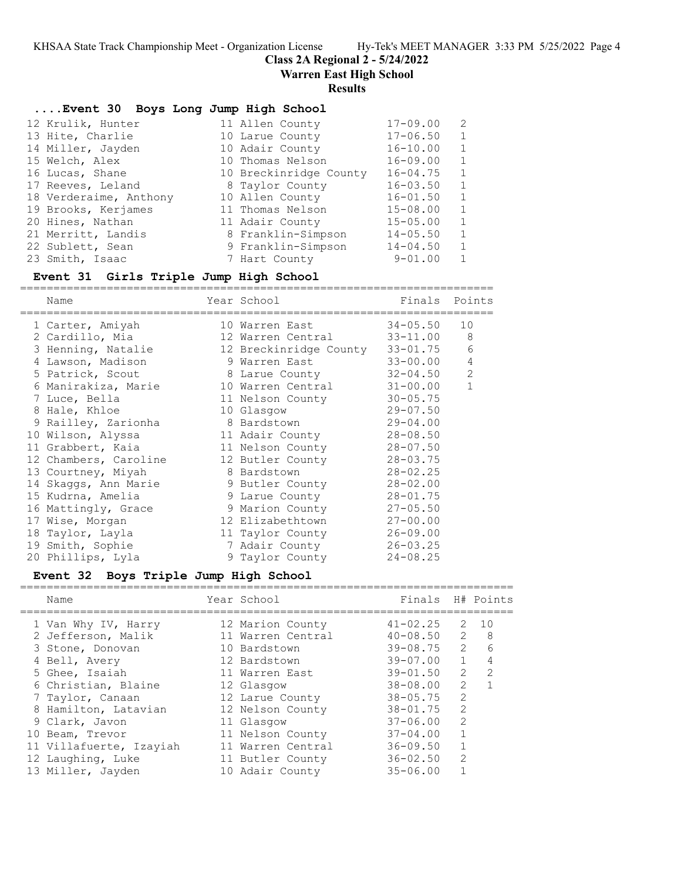**Class 2A Regional 2 - 5/24/2022**

**Warren East High School**

#### **Results**

# **....Event 30 Boys Long Jump High School**

|  | 12 Krulik, Hunter      | 11 Allen County        | $17 - 09.00$ | - 2          |
|--|------------------------|------------------------|--------------|--------------|
|  | 13 Hite, Charlie       | 10 Larue County        | $17 - 06.50$ | 1            |
|  | 14 Miller, Jayden      | 10 Adair County        | $16 - 10.00$ | $\mathbf{1}$ |
|  | 15 Welch, Alex         | 10 Thomas Nelson       | $16 - 09.00$ | 1            |
|  | 16 Lucas, Shane        | 10 Breckinridge County | $16 - 04.75$ | $\mathbf{1}$ |
|  | 17 Reeves, Leland      | 8 Taylor County        | $16 - 03.50$ | $\mathbf{1}$ |
|  | 18 Verderaime, Anthony | 10 Allen County        | $16 - 01.50$ | $\mathbf{1}$ |
|  | 19 Brooks, Kerjames    | 11 Thomas Nelson       | $15 - 08.00$ | $\mathbf{1}$ |
|  | 20 Hines, Nathan       | 11 Adair County        | $15 - 05.00$ | $\mathbf{1}$ |
|  | 21 Merritt, Landis     | 8 Franklin-Simpson     | $14 - 05.50$ | $\mathbf{1}$ |
|  | 22 Sublett, Sean       | 9 Franklin-Simpson     | $14 - 04.50$ | $\mathbf{1}$ |
|  | 23 Smith, Isaac        | 7 Hart County          | $9 - 01.00$  | 1            |
|  |                        |                        |              |              |

#### **Event 31 Girls Triple Jump High School**

======================================================================= Name **Name** Year School **Finals Points** ======================================================================= 1 Carter, Amiyah 10 Warren East 34-05.50 10 2 Cardillo, Mia 12 Warren Central 33-11.00 8 3 Henning, Natalie 12 Breckinridge County 33-01.75 6 4 Lawson, Madison 9 Warren East 33-00.00 4 5 Patrick, Scout 8 Larue County 32-04.50 2 6 Manirakiza, Marie 10 Warren Central 31-00.00 1 7 Luce, Bella 11 Nelson County 30-05.75 8 Hale, Khloe 10 Glasgow 29-07.50 9 Railley, Zarionha 8 Bardstown 29-04.00 10 Wilson, Alyssa 11 Adair County 28-08.50 11 Grabbert, Kaia 11 Nelson County 28-07.50 12 Chambers, Caroline 12 Butler County 28-03.75 13 Courtney, Miyah 8 Bardstown 28-02.25 14 Skaggs, Ann Marie 9 Butler County 28-02.00 15 Kudrna, Amelia 9 Larue County 28-01.75 16 Mattingly, Grace 9 Marion County 27-05.50 17 Wise, Morgan 12 Elizabethtown 27-00.00 18 Taylor, Layla 11 Taylor County 26-09.00 19 Smith, Sophie 7 Adair County 26-03.25 20 Phillips, Lyla 9 Taylor County 24-08.25

## **Event 32 Boys Triple Jump High School**

|  | Name                    | Year School       | Finals H# Points |                |               |
|--|-------------------------|-------------------|------------------|----------------|---------------|
|  | 1 Van Why IV, Harry     | 12 Marion County  | $41 - 02.25$     | 2              | 10            |
|  | 2 Jefferson, Malik      | 11 Warren Central | $40 - 08.50$     | $\mathcal{L}$  | - 8           |
|  | 3 Stone, Donovan        | 10 Bardstown      | $39 - 08.75$     | $\mathcal{L}$  | 6             |
|  | 4 Bell, Avery           | 12 Bardstown      | $39 - 07.00$     | $\mathbf{1}$   | 4             |
|  | 5 Ghee, Isaiah          | 11 Warren East    | $39 - 01.50$     | $\mathcal{L}$  | $\mathcal{L}$ |
|  | 6 Christian, Blaine     | 12 Glasgow        | $38 - 08.00$     | $\mathfrak{D}$ |               |
|  | 7 Taylor, Canaan        | 12 Larue County   | $38 - 05.75$     | $\mathcal{L}$  |               |
|  | 8 Hamilton, Latavian    | 12 Nelson County  | $38 - 01.75$     | $\mathcal{L}$  |               |
|  | 9 Clark, Javon          | 11 Glasgow        | $37 - 06.00$     | 2              |               |
|  | 10 Beam, Trevor         | 11 Nelson County  | $37 - 04.00$     |                |               |
|  | 11 Villafuerte, Izayiah | 11 Warren Central | $36 - 09.50$     |                |               |
|  | 12 Laughing, Luke       | 11 Butler County  | $36 - 02.50$     | $\mathcal{L}$  |               |
|  | 13 Miller, Jayden       | 10 Adair County   | $35 - 06.00$     |                |               |
|  |                         |                   |                  |                |               |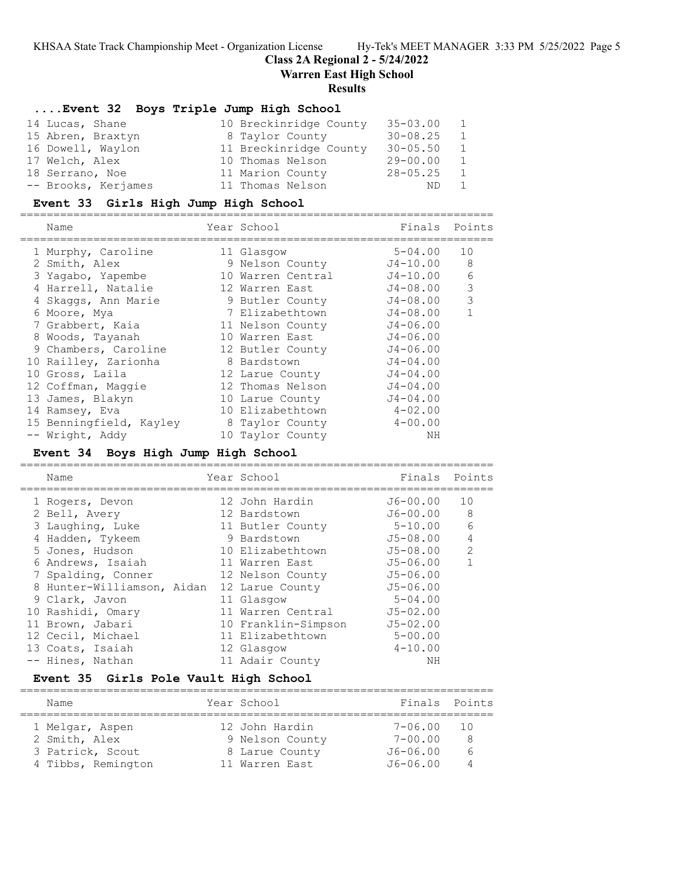**Class 2A Regional 2 - 5/24/2022**

**Warren East High School**

#### **Results**

#### **....Event 32 Boys Triple Jump High School**

| 14 Lucas, Shane     | 10 Breckinridge County | $35 - 03.00$ | 1              |
|---------------------|------------------------|--------------|----------------|
| 15 Abren, Braxtyn   | 8 Taylor County        | $30 - 08.25$ | 1              |
| 16 Dowell, Waylon   | 11 Breckinridge County | $30 - 05.50$ | 1              |
| 17 Welch, Alex      | 10 Thomas Nelson       | $29 - 00.00$ | 1              |
| 18 Serrano, Noe     | 11 Marion County       | $28 - 05.25$ | $\overline{1}$ |
| -- Brooks, Kerjames | 11 Thomas Nelson       | ND.          | 1              |

#### **Event 33 Girls High Jump High School**

=======================================================================

| Name                    | Year School       | Finals       | Points       |
|-------------------------|-------------------|--------------|--------------|
| 1 Murphy, Caroline      | 11 Glasgow        | $5 - 04.00$  | 10           |
| 2 Smith, Alex           | 9 Nelson County   | J4-10.00     | 8            |
| 3 Yagabo, Yapembe       | 10 Warren Central | J4-10.00     | 6            |
| 4 Harrell, Natalie      | 12 Warren East    | J4-08.00     | 3            |
| 4 Skaggs, Ann Marie     | 9 Butler County   | J4-08.00     | 3            |
| 6 Moore, Mya            | 7 Elizabethtown   | $J4 - 08.00$ | $\mathbf{1}$ |
| 7 Grabbert, Kaia        | 11 Nelson County  | $J4 - 06.00$ |              |
| 8 Woods, Tayanah        | 10 Warren East    | $J4 - 06.00$ |              |
| 9 Chambers, Caroline    | 12 Butler County  | $J4 - 06.00$ |              |
| 10 Railley, Zarionha    | 8 Bardstown       | $J4 - 04.00$ |              |
| 10 Gross, Laila         | 12 Larue County   | $J4 - 04.00$ |              |
| 12 Coffman, Maggie      | 12 Thomas Nelson  | $J4 - 04.00$ |              |
| 13 James, Blakyn        | 10 Larue County   | $J4 - 04.00$ |              |
| 14 Ramsey, Eva          | 10 Elizabethtown  | $4 - 02.00$  |              |
| 15 Benningfield, Kayley | 8 Taylor County   | $4 - 00.00$  |              |
| -- Wright, Addy         | 10 Taylor County  | ΝH           |              |

#### **Event 34 Boys High Jump High School** =======================================================================

Name Year School Finals Points ======================================================================= 1 Rogers, Devon 12 John Hardin J6-00.00 10 2 Bell, Avery 12 Bardstown J6-00.00 8 3 Laughing, Luke 11 Butler County 5-10.00 6 4 Hadden, Tykeem 9 Bardstown J5-08.00 4 5 Jones, Hudson 10 Elizabethtown J5-08.00 2 6 Andrews, Isaiah 11 Warren East J5-06.00 1 7 Spalding, Conner 12 Nelson County 55-06.00 8 Hunter-Williamson, Aidan 12 Larue County  $J5-06.00$  9 Clark, Javon 11 Glasgow 5-04.00 10 Rashidi, Omary 11 Warren Central J5-02.00 11 Brown, Jabari 10 Franklin-Simpson J5-02.00 12 Cecil, Michael 11 Elizabethtown 5-00.00 13 Coats, Isaiah 12 Glasgow 4-10.00 -- Hines, Nathan 11 Adair County NH

# **Event 35 Girls Pole Vault High School**

| Name                                                                       | Year School                                                           | Finals Points                                      |                |
|----------------------------------------------------------------------------|-----------------------------------------------------------------------|----------------------------------------------------|----------------|
| 1 Melgar, Aspen<br>2 Smith, Alex<br>3 Patrick, Scout<br>4 Tibbs, Remington | 12 John Hardin<br>9 Nelson County<br>8 Larue County<br>11 Warren East | 7-06.00<br>$7 - 00.00$<br>$J6 - 06.00$<br>J6-06.00 | - 10<br>8<br>6 |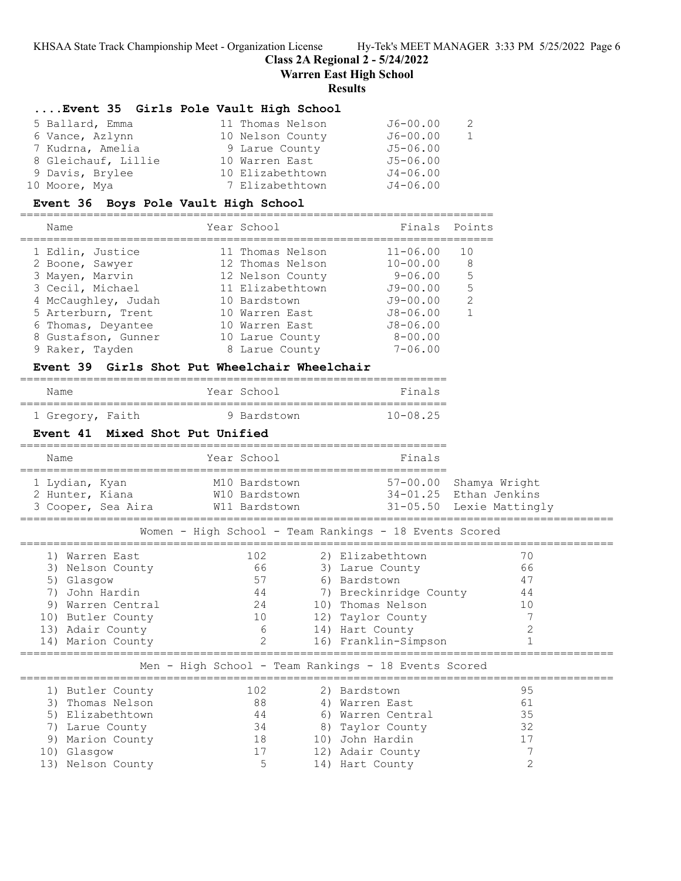**Class 2A Regional 2 - 5/24/2022**

**Warren East High School**

# **Results**

# **....Event 35 Girls Pole Vault High School**

| 5 Ballard, Emma     | 11 Thomas Nelson | $J6 - 00.00$ | - 2 |
|---------------------|------------------|--------------|-----|
| 6 Vance, Azlynn     | 10 Nelson County | $J6 - 00.00$ | 1   |
| 7 Kudrna, Amelia    | 9 Larue County   | $J5 - 06.00$ |     |
| 8 Gleichauf, Lillie | 10 Warren East   | $J5 - 06.00$ |     |
| 9 Davis, Brylee     | 10 Elizabethtown | $J4 - 06.00$ |     |
| 10 Moore, Mya       | 7 Elizabethtown  | $J4 - 06.00$ |     |

# **Event 36 Boys Pole Vault High School**

| Name                | Year School      | Finals Points |               |
|---------------------|------------------|---------------|---------------|
| 1 Edlin, Justice    | 11 Thomas Nelson | $11 - 06.00$  | 10            |
| 2 Boone, Sawyer     | 12 Thomas Nelson | $10 - 00.00$  | 8             |
| 3 Mayen, Marvin     | 12 Nelson County | $9 - 06.00$   | 5             |
| 3 Cecil, Michael    | 11 Elizabethtown | $J9 - 00.00$  | 5             |
| 4 McCaughley, Judah | 10 Bardstown     | $J9 - 00.00$  | $\mathcal{P}$ |
| 5 Arterburn, Trent  | 10 Warren East   | $J8 - 06.00$  | 1             |
| 6 Thomas, Deyantee  | 10 Warren East   | $J8 - 06.00$  |               |
| 8 Gustafson, Gunner | 10 Larue County  | $8 - 00.00$   |               |
| 9 Raker, Tayden     | 8 Larue County   | $7 - 06.00$   |               |
|                     |                  |               |               |

# **Event 39 Girls Shot Put Wheelchair Wheelchair**

| Name                                                   |                                                         |                | Year School     |  | Finals                                                                                                   |                           |  |
|--------------------------------------------------------|---------------------------------------------------------|----------------|-----------------|--|----------------------------------------------------------------------------------------------------------|---------------------------|--|
|                                                        | 1 Gregory, Faith                                        |                | 9 Bardstown     |  | $10 - 08.25$                                                                                             |                           |  |
|                                                        | Mixed Shot Put Unified<br>Event 41                      |                |                 |  |                                                                                                          |                           |  |
| Name                                                   |                                                         |                | Year School     |  | Finals                                                                                                   |                           |  |
|                                                        | 1 Lydian, Kyan<br>2 Hunter, Kiana<br>3 Cooper, Sea Aira |                | M10 Bardstown   |  | 57-00.00 Shamya Wright<br>W10 Bardstown 34-01.25 Ethan Jenkins<br>W11 Bardstown 31-05.50 Lexie Mattingly |                           |  |
| Women - High School - Team Rankings - 18 Events Scored |                                                         |                |                 |  |                                                                                                          |                           |  |
|                                                        | 1) Warren East                                          |                | 102             |  | 2) Elizabethtown                                                                                         | 70                        |  |
|                                                        | 3) Nelson County                                        |                | 66              |  | 3) Larue County                                                                                          | 66                        |  |
|                                                        | 5) Glasgow                                              |                | 57              |  | 6) Bardstown                                                                                             | 47                        |  |
| 7)                                                     | John Hardin                                             |                |                 |  | 44 7) Breckinridge County 44                                                                             |                           |  |
| 9)                                                     | Warren Central                                          |                | 24              |  | 10) Thomas Nelson                                                                                        | 10                        |  |
|                                                        | 10) Butler County                                       |                | 10              |  | 12) Taylor County                                                                                        | 7<br>$\overline{c}$       |  |
|                                                        | 13) Adair County<br>14) Marion County                   | $\overline{2}$ | $6\overline{6}$ |  | 14) Hart County<br>16) Franklin-Simpson                                                                  | $\mathbf{1}$              |  |
|                                                        |                                                         |                |                 |  |                                                                                                          | ========================= |  |
| Men - High School - Team Rankings - 18 Events Scored   |                                                         |                |                 |  |                                                                                                          |                           |  |
|                                                        | 1) Butler County                                        |                | 102             |  | 2) Bardstown                                                                                             | 95                        |  |
| 3)                                                     | Thomas Nelson                                           |                | 88              |  | 4) Warren East                                                                                           | 61                        |  |
| 5)                                                     | Elizabethtown                                           |                | 44              |  | 6) Warren Central                                                                                        | 35                        |  |
| 7)                                                     | Larue County                                            |                | 34              |  | 8) Taylor County                                                                                         | 32                        |  |
|                                                        | 9) Marion County                                        |                | 18              |  | 10) John Hardin                                                                                          | 17                        |  |
| 10)                                                    | Glasqow                                                 |                | 17              |  | 12) Adair County                                                                                         | 7                         |  |
|                                                        | 13) Nelson County                                       |                | 5               |  | 14) Hart County                                                                                          | $\overline{2}$            |  |